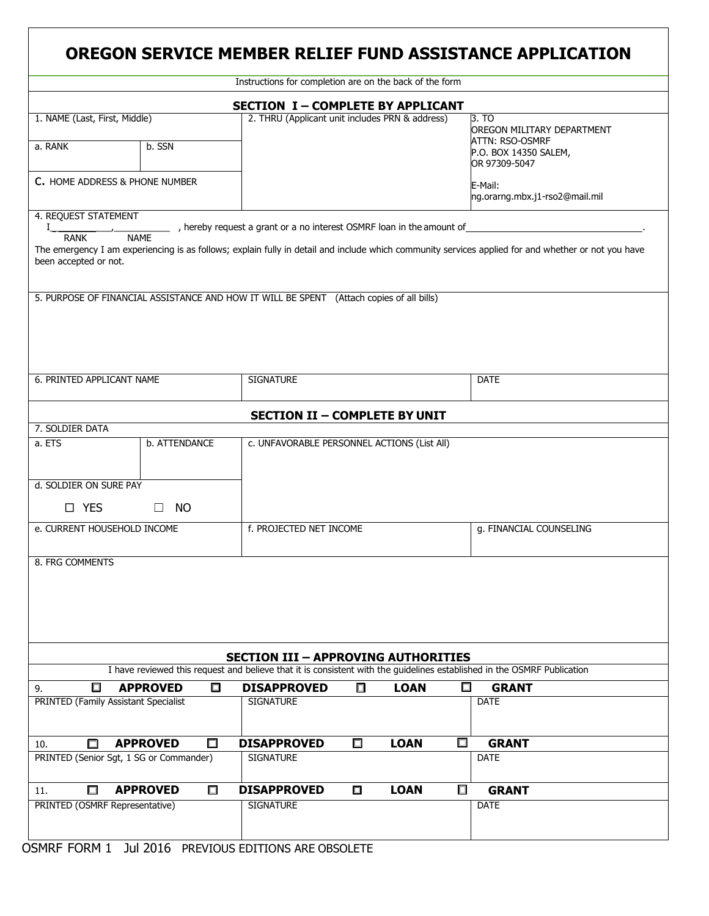| OREGON SERVICE MEMBER RELIEF FUND ASSISTANCE APPLICATION                                                                                                                                                                                                                                                      |                                                 |                    |        |                                                                                                  |                         |                                           |  |  |  |  |
|---------------------------------------------------------------------------------------------------------------------------------------------------------------------------------------------------------------------------------------------------------------------------------------------------------------|-------------------------------------------------|--------------------|--------|--------------------------------------------------------------------------------------------------|-------------------------|-------------------------------------------|--|--|--|--|
| Instructions for completion are on the back of the form                                                                                                                                                                                                                                                       |                                                 |                    |        |                                                                                                  |                         |                                           |  |  |  |  |
| <b>SECTION I-COMPLETE BY APPLICANT</b>                                                                                                                                                                                                                                                                        |                                                 |                    |        |                                                                                                  |                         |                                           |  |  |  |  |
| 1. NAME (Last, First, Middle)<br>a. RANK                                                                                                                                                                                                                                                                      | 2. THRU (Applicant unit includes PRN & address) |                    |        | 3. TO<br>OREGON MILITARY DEPARTMENT<br>ATTN: RSO-OSMRF<br>P.O. BOX 14350 SALEM,<br>OR 97309-5047 |                         |                                           |  |  |  |  |
| C. HOME ADDRESS & PHONE NUMBER                                                                                                                                                                                                                                                                                |                                                 |                    |        |                                                                                                  |                         | E-Mail:<br>ng.orarng.mbx.j1-rso2@mail.mil |  |  |  |  |
| 4. REQUEST STATEMENT<br>_ , hereby request a grant or a no interest OSMRF loan in the amount of<br><b>NAME</b><br><b>RANK</b><br>The emergency I am experiencing is as follows; explain fully in detail and include which community services applied for and whether or not you have<br>been accepted or not. |                                                 |                    |        |                                                                                                  |                         |                                           |  |  |  |  |
| 5. PURPOSE OF FINANCIAL ASSISTANCE AND HOW IT WILL BE SPENT (Attach copies of all bills)                                                                                                                                                                                                                      |                                                 |                    |        |                                                                                                  |                         |                                           |  |  |  |  |
| 6. PRINTED APPLICANT NAME                                                                                                                                                                                                                                                                                     | <b>SIGNATURE</b>                                |                    |        |                                                                                                  | <b>DATE</b>             |                                           |  |  |  |  |
| <b>SECTION II - COMPLETE BY UNIT</b>                                                                                                                                                                                                                                                                          |                                                 |                    |        |                                                                                                  |                         |                                           |  |  |  |  |
| 7. SOLDIER DATA                                                                                                                                                                                                                                                                                               |                                                 |                    |        |                                                                                                  |                         |                                           |  |  |  |  |
| a. ETS<br>d. SOLDIER ON SURE PAY<br>□ YES                                                                                                                                                                                                                                                                     | c. UNFAVORABLE PERSONNEL ACTIONS (List All)     |                    |        |                                                                                                  |                         |                                           |  |  |  |  |
| e. CURRENT HOUSEHOLD INCOME                                                                                                                                                                                                                                                                                   | f. PROJECTED NET INCOME                         |                    |        |                                                                                                  | g. FINANCIAL COUNSELING |                                           |  |  |  |  |
| 8. FRG COMMENTS                                                                                                                                                                                                                                                                                               |                                                 |                    |        |                                                                                                  |                         |                                           |  |  |  |  |
| <b>SECTION III - APPROVING AUTHORITIES</b><br>I have reviewed this request and believe that it is consistent with the guidelines established in the OSMRF Publication                                                                                                                                         |                                                 |                    |        |                                                                                                  |                         |                                           |  |  |  |  |
| □                                                                                                                                                                                                                                                                                                             | <b>APPROVED</b><br>$\Box$                       | <b>DISAPPROVED</b> | $\Box$ | <b>LOAN</b>                                                                                      | $\Box$                  | <b>GRANT</b>                              |  |  |  |  |
| 9.<br>PRINTED (Family Assistant Specialist                                                                                                                                                                                                                                                                    |                                                 | <b>SIGNATURE</b>   |        |                                                                                                  |                         | <b>DATE</b>                               |  |  |  |  |
| П<br>10.                                                                                                                                                                                                                                                                                                      | <b>APPROVED</b><br>$\Box$                       | <b>DISAPPROVED</b> | $\Box$ | <b>LOAN</b>                                                                                      | $\Box$                  | <b>GRANT</b>                              |  |  |  |  |
| PRINTED (Senior Sgt, 1 SG or Commander)                                                                                                                                                                                                                                                                       |                                                 | <b>SIGNATURE</b>   |        |                                                                                                  |                         | <b>DATE</b>                               |  |  |  |  |
| $\Box$<br>11.                                                                                                                                                                                                                                                                                                 | <b>APPROVED</b><br>$\Box$                       | <b>DISAPPROVED</b> | $\Box$ | <b>LOAN</b>                                                                                      | $\Box$                  | <b>GRANT</b>                              |  |  |  |  |
| PRINTED (OSMRF Representative)                                                                                                                                                                                                                                                                                |                                                 | <b>SIGNATURE</b>   |        |                                                                                                  |                         | <b>DATE</b>                               |  |  |  |  |

<u> 1980 - Andrea Station Barbara, amerikan personal (h. 1980).</u>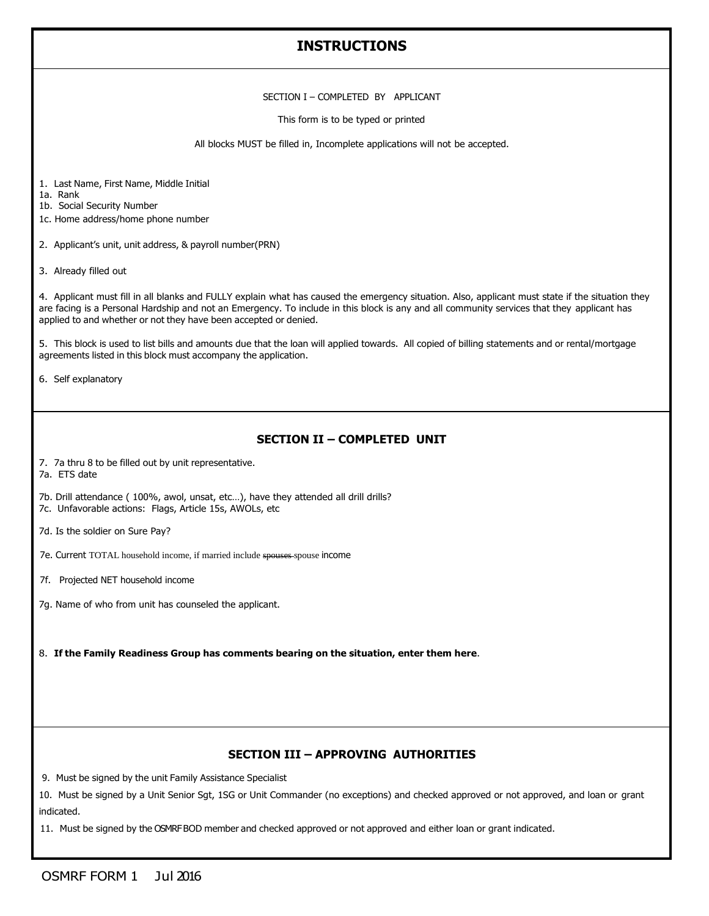# **INSTRUCTIONS**

#### SECTION I – COMPLETED BY APPLICANT

This form is to be typed or printed

All blocks MUST be filled in, Incomplete applications will not be accepted.

1. Last Name, First Name, Middle Initial

1a. Rank

1b. Social Security Number

1c. Home address/home phone number

2. Applicant's unit, unit address, & payroll number(PRN)

3. Already filled out

4. Applicant must fill in all blanks and FULLY explain what has caused the emergency situation. Also, applicant must state if the situation they are facing is a Personal Hardship and not an Emergency. To include in this block is any and all community services that they applicant has applied to and whether or not they have been accepted or denied.

5. This block is used to list bills and amounts due that the loan will applied towards. All copied of billing statements and or rental/mortgage agreements listed in this block must accompany the application.

6. Self explanatory

#### **SECTION II – COMPLETED UNIT**

7. 7a thru 8 to be filled out by unit representative.

7a. ETS date

7b. Drill attendance ( 100%, awol, unsat, etc…), have they attended all drill drills? 7c. Unfavorable actions: Flags, Article 15s, AWOLs, etc

7d. Is the soldier on Sure Pay?

7e. Current TOTAL household income, if married include spouses spouse income

7f. Projected NET household income

7g. Name of who from unit has counseled the applicant.

8. **If the Family Readiness Group has comments bearing on the situation, enter them here**.

### **SECTION III – APPROVING AUTHORITIES**

9. Must be signed by the unit Family Assistance Specialist

10. Must be signed by a Unit Senior Sgt, 1SG or Unit Commander (no exceptions) and checked approved or not approved, and loan or grant indicated.

11. Must be signed by the OSMRFBOD member and checked approved or not approved and either loan or grant indicated.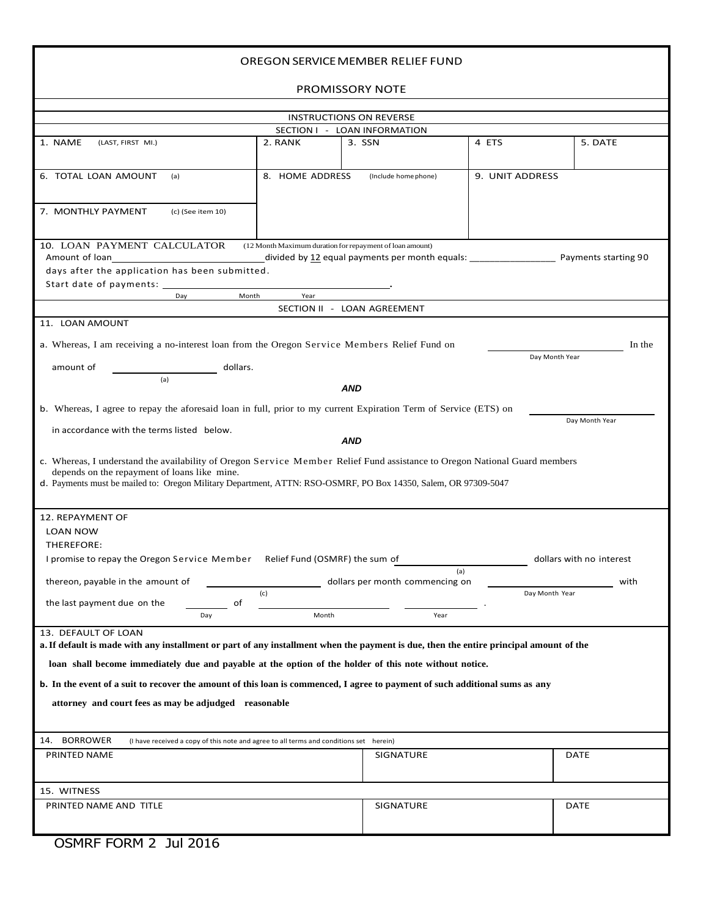| OREGON SERVICE MEMBER RELIEF FUND                                                                                                                                                                                                                                                                                                                                                                                                                                                       |                  |                      |                 |                          |  |  |  |  |  |  |
|-----------------------------------------------------------------------------------------------------------------------------------------------------------------------------------------------------------------------------------------------------------------------------------------------------------------------------------------------------------------------------------------------------------------------------------------------------------------------------------------|------------------|----------------------|-----------------|--------------------------|--|--|--|--|--|--|
| PROMISSORY NOTE                                                                                                                                                                                                                                                                                                                                                                                                                                                                         |                  |                      |                 |                          |  |  |  |  |  |  |
| <b>INSTRUCTIONS ON REVERSE</b>                                                                                                                                                                                                                                                                                                                                                                                                                                                          |                  |                      |                 |                          |  |  |  |  |  |  |
| SECTION I - LOAN INFORMATION                                                                                                                                                                                                                                                                                                                                                                                                                                                            |                  |                      |                 |                          |  |  |  |  |  |  |
| 1. NAME<br>(LAST, FIRST MI.)                                                                                                                                                                                                                                                                                                                                                                                                                                                            | 2. RANK          | 3. SSN               | 4 ETS           | 5. DATE                  |  |  |  |  |  |  |
| 6. TOTAL LOAN AMOUNT<br>(a)                                                                                                                                                                                                                                                                                                                                                                                                                                                             | 8. HOME ADDRESS  | (Include home phone) | 9. UNIT ADDRESS |                          |  |  |  |  |  |  |
| 7. MONTHLY PAYMENT<br>(c) (See item 10)                                                                                                                                                                                                                                                                                                                                                                                                                                                 |                  |                      |                 |                          |  |  |  |  |  |  |
| 10. LOAN PAYMENT CALCULATOR<br>(12 Month Maximum duration for repayment of loan amount)<br>Amount of loan<br>divided by 12 equal payments per month equals: ___________________<br>Payments starting 90<br>days after the application has been submitted.                                                                                                                                                                                                                               |                  |                      |                 |                          |  |  |  |  |  |  |
| Start date of payments: _____                                                                                                                                                                                                                                                                                                                                                                                                                                                           |                  |                      |                 |                          |  |  |  |  |  |  |
| Month<br>Day<br>Year<br>SECTION II - LOAN AGREEMENT                                                                                                                                                                                                                                                                                                                                                                                                                                     |                  |                      |                 |                          |  |  |  |  |  |  |
| 11. LOAN AMOUNT                                                                                                                                                                                                                                                                                                                                                                                                                                                                         |                  |                      |                 |                          |  |  |  |  |  |  |
| a. Whereas, I am receiving a no-interest loan from the Oregon Service Members Relief Fund on<br>In the<br>Day Month Year<br>amount of<br>dollars.                                                                                                                                                                                                                                                                                                                                       |                  |                      |                 |                          |  |  |  |  |  |  |
| (a)                                                                                                                                                                                                                                                                                                                                                                                                                                                                                     |                  | AND                  |                 |                          |  |  |  |  |  |  |
| b. Whereas, I agree to repay the aforesaid loan in full, prior to my current Expiration Term of Service (ETS) on<br>Day Month Year<br>in accordance with the terms listed below.<br>AND<br>c. Whereas, I understand the availability of Oregon Service Member Relief Fund assistance to Oregon National Guard members<br>depends on the repayment of loans like mine.<br>d. Payments must be mailed to: Oregon Military Department, ATTN: RSO-OSMRF, PO Box 14350, Salem, OR 97309-5047 |                  |                      |                 |                          |  |  |  |  |  |  |
| 12. REPAYMENT OF                                                                                                                                                                                                                                                                                                                                                                                                                                                                        |                  |                      |                 |                          |  |  |  |  |  |  |
| <b>LOAN NOW</b>                                                                                                                                                                                                                                                                                                                                                                                                                                                                         |                  |                      |                 |                          |  |  |  |  |  |  |
| THEREFORE:<br>I promise to repay the Oregon Service Member Relief Fund (OSMRF) the sum of                                                                                                                                                                                                                                                                                                                                                                                               |                  |                      |                 | dollars with no interest |  |  |  |  |  |  |
|                                                                                                                                                                                                                                                                                                                                                                                                                                                                                         |                  | (a)                  |                 |                          |  |  |  |  |  |  |
| thereon, payable in the amount of<br>dollars per month commencing on<br>with<br>(c)<br>Day Month Year                                                                                                                                                                                                                                                                                                                                                                                   |                  |                      |                 |                          |  |  |  |  |  |  |
| the last payment due on the<br>of                                                                                                                                                                                                                                                                                                                                                                                                                                                       |                  |                      |                 |                          |  |  |  |  |  |  |
| Day                                                                                                                                                                                                                                                                                                                                                                                                                                                                                     | Month            | Year                 |                 |                          |  |  |  |  |  |  |
| 13. DEFAULT OF LOAN                                                                                                                                                                                                                                                                                                                                                                                                                                                                     |                  |                      |                 |                          |  |  |  |  |  |  |
| a. If default is made with any installment or part of any installment when the payment is due, then the entire principal amount of the                                                                                                                                                                                                                                                                                                                                                  |                  |                      |                 |                          |  |  |  |  |  |  |
| loan shall become immediately due and payable at the option of the holder of this note without notice.                                                                                                                                                                                                                                                                                                                                                                                  |                  |                      |                 |                          |  |  |  |  |  |  |
| <b>b.</b> In the event of a suit to recover the amount of this loan is commenced, I agree to payment of such additional sums as any                                                                                                                                                                                                                                                                                                                                                     |                  |                      |                 |                          |  |  |  |  |  |  |
| attorney and court fees as may be adjudged reasonable                                                                                                                                                                                                                                                                                                                                                                                                                                   |                  |                      |                 |                          |  |  |  |  |  |  |
|                                                                                                                                                                                                                                                                                                                                                                                                                                                                                         |                  |                      |                 |                          |  |  |  |  |  |  |
| <b>BORROWER</b><br>14.<br>(I have received a copy of this note and agree to all terms and conditions set herein)                                                                                                                                                                                                                                                                                                                                                                        |                  |                      |                 |                          |  |  |  |  |  |  |
| PRINTED NAME                                                                                                                                                                                                                                                                                                                                                                                                                                                                            |                  | SIGNATURE            |                 | <b>DATE</b>              |  |  |  |  |  |  |
|                                                                                                                                                                                                                                                                                                                                                                                                                                                                                         |                  |                      |                 |                          |  |  |  |  |  |  |
| 15. WITNESS                                                                                                                                                                                                                                                                                                                                                                                                                                                                             |                  |                      |                 |                          |  |  |  |  |  |  |
| PRINTED NAME AND TITLE                                                                                                                                                                                                                                                                                                                                                                                                                                                                  | <b>SIGNATURE</b> |                      | <b>DATE</b>     |                          |  |  |  |  |  |  |

OSMRF FORM 2 Jul 2016